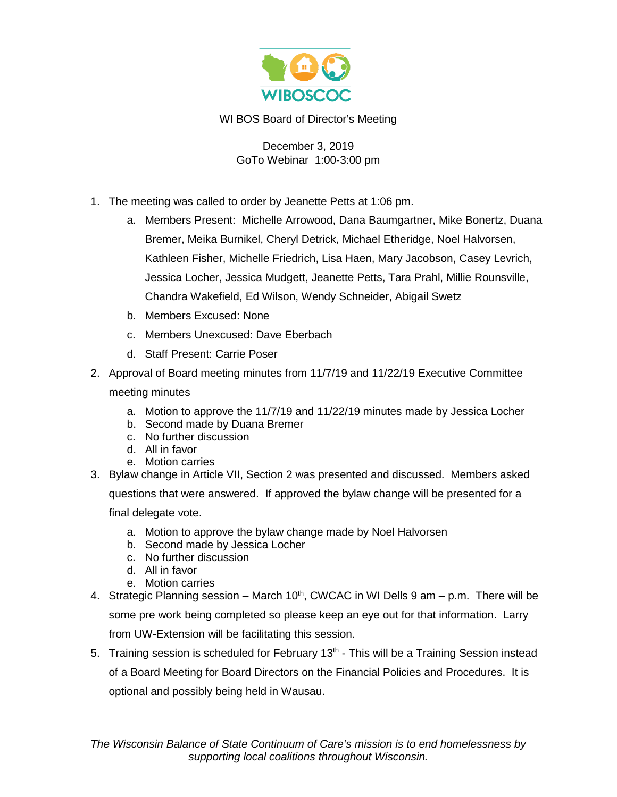

WI BOS Board of Director's Meeting

December 3, 2019 GoTo Webinar 1:00-3:00 pm

- 1. The meeting was called to order by Jeanette Petts at 1:06 pm.
	- a. Members Present: Michelle Arrowood, Dana Baumgartner, Mike Bonertz, Duana Bremer, Meika Burnikel, Cheryl Detrick, Michael Etheridge, Noel Halvorsen, Kathleen Fisher, Michelle Friedrich, Lisa Haen, Mary Jacobson, Casey Levrich, Jessica Locher, Jessica Mudgett, Jeanette Petts, Tara Prahl, Millie Rounsville, Chandra Wakefield, Ed Wilson, Wendy Schneider, Abigail Swetz
	- b. Members Excused: None
	- c. Members Unexcused: Dave Eberbach
	- d. Staff Present: Carrie Poser
- 2. Approval of Board meeting minutes from 11/7/19 and 11/22/19 Executive Committee meeting minutes
	- a. Motion to approve the 11/7/19 and 11/22/19 minutes made by Jessica Locher
	- b. Second made by Duana Bremer
	- c. No further discussion
	- d. All in favor
	- e. Motion carries
- 3. Bylaw change in Article VII, Section 2 was presented and discussed. Members asked questions that were answered. If approved the bylaw change will be presented for a final delegate vote.
	- a. Motion to approve the bylaw change made by Noel Halvorsen
	- b. Second made by Jessica Locher
	- c. No further discussion
	- d. All in favor
	- e. Motion carries
- 4. Strategic Planning session March  $10<sup>th</sup>$ , CWCAC in WI Dells 9 am p.m. There will be some pre work being completed so please keep an eye out for that information. Larry from UW-Extension will be facilitating this session.
- 5. Training session is scheduled for February  $13<sup>th</sup>$  This will be a Training Session instead of a Board Meeting for Board Directors on the Financial Policies and Procedures. It is optional and possibly being held in Wausau.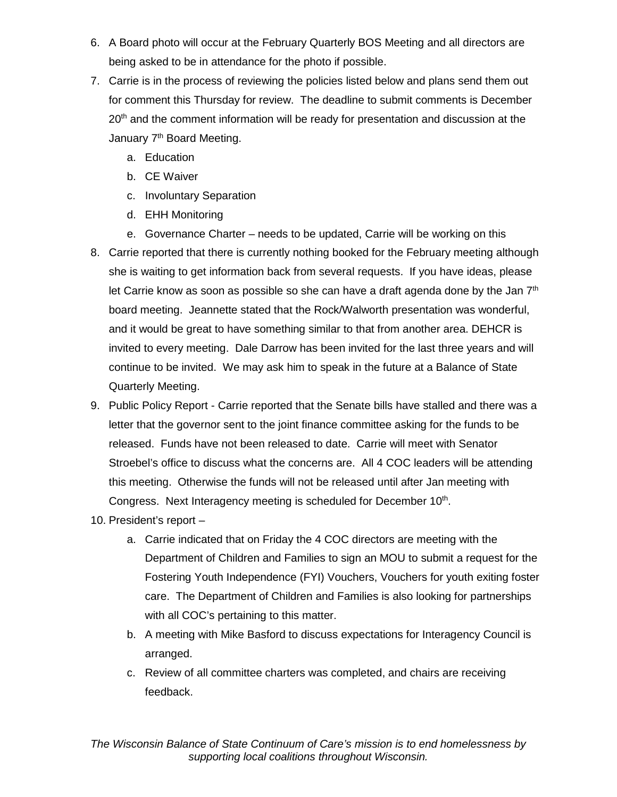- 6. A Board photo will occur at the February Quarterly BOS Meeting and all directors are being asked to be in attendance for the photo if possible.
- 7. Carrie is in the process of reviewing the policies listed below and plans send them out for comment this Thursday for review. The deadline to submit comments is December 20<sup>th</sup> and the comment information will be ready for presentation and discussion at the January 7<sup>th</sup> Board Meeting.
	- a. Education
	- b. CE Waiver
	- c. Involuntary Separation
	- d. EHH Monitoring
	- e. Governance Charter needs to be updated, Carrie will be working on this
- 8. Carrie reported that there is currently nothing booked for the February meeting although she is waiting to get information back from several requests. If you have ideas, please let Carrie know as soon as possible so she can have a draft agenda done by the Jan  $7<sup>th</sup>$ board meeting. Jeannette stated that the Rock/Walworth presentation was wonderful, and it would be great to have something similar to that from another area. DEHCR is invited to every meeting. Dale Darrow has been invited for the last three years and will continue to be invited. We may ask him to speak in the future at a Balance of State Quarterly Meeting.
- 9. Public Policy Report Carrie reported that the Senate bills have stalled and there was a letter that the governor sent to the joint finance committee asking for the funds to be released. Funds have not been released to date. Carrie will meet with Senator Stroebel's office to discuss what the concerns are. All 4 COC leaders will be attending this meeting. Otherwise the funds will not be released until after Jan meeting with Congress. Next Interagency meeting is scheduled for December 10<sup>th</sup>.
- 10. President's report
	- a. Carrie indicated that on Friday the 4 COC directors are meeting with the Department of Children and Families to sign an MOU to submit a request for the Fostering Youth Independence (FYI) Vouchers, Vouchers for youth exiting foster care. The Department of Children and Families is also looking for partnerships with all COC's pertaining to this matter.
	- b. A meeting with Mike Basford to discuss expectations for Interagency Council is arranged.
	- c. Review of all committee charters was completed, and chairs are receiving feedback.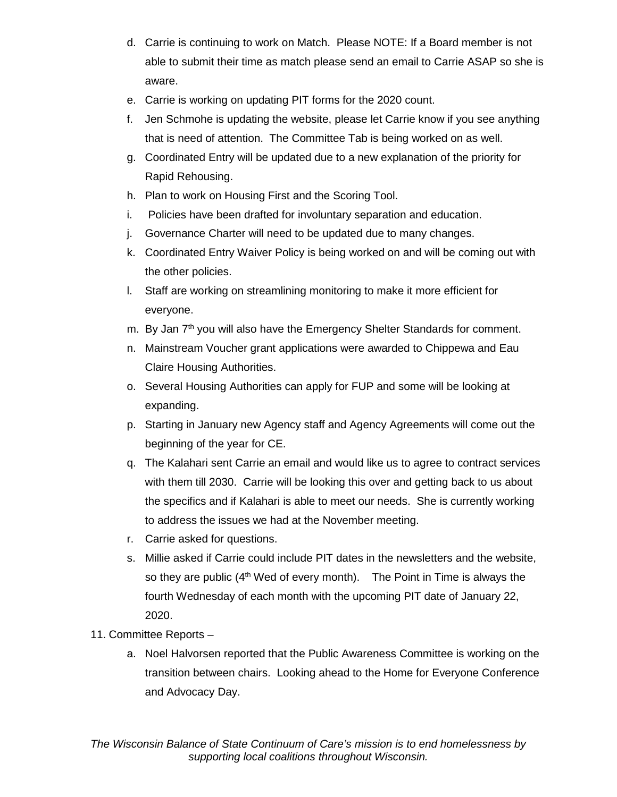- d. Carrie is continuing to work on Match. Please NOTE: If a Board member is not able to submit their time as match please send an email to Carrie ASAP so she is aware.
- e. Carrie is working on updating PIT forms for the 2020 count.
- f. Jen Schmohe is updating the website, please let Carrie know if you see anything that is need of attention. The Committee Tab is being worked on as well.
- g. Coordinated Entry will be updated due to a new explanation of the priority for Rapid Rehousing.
- h. Plan to work on Housing First and the Scoring Tool.
- i. Policies have been drafted for involuntary separation and education.
- j. Governance Charter will need to be updated due to many changes.
- k. Coordinated Entry Waiver Policy is being worked on and will be coming out with the other policies.
- l. Staff are working on streamlining monitoring to make it more efficient for everyone.
- m. By Jan 7<sup>th</sup> you will also have the Emergency Shelter Standards for comment.
- n. Mainstream Voucher grant applications were awarded to Chippewa and Eau Claire Housing Authorities.
- o. Several Housing Authorities can apply for FUP and some will be looking at expanding.
- p. Starting in January new Agency staff and Agency Agreements will come out the beginning of the year for CE.
- q. The Kalahari sent Carrie an email and would like us to agree to contract services with them till 2030. Carrie will be looking this over and getting back to us about the specifics and if Kalahari is able to meet our needs. She is currently working to address the issues we had at the November meeting.
- r. Carrie asked for questions.
- s. Millie asked if Carrie could include PIT dates in the newsletters and the website, so they are public  $(4<sup>th</sup>$  Wed of every month). The Point in Time is always the fourth Wednesday of each month with the upcoming PIT date of January 22, 2020.
- 11. Committee Reports
	- a. Noel Halvorsen reported that the Public Awareness Committee is working on the transition between chairs. Looking ahead to the Home for Everyone Conference and Advocacy Day.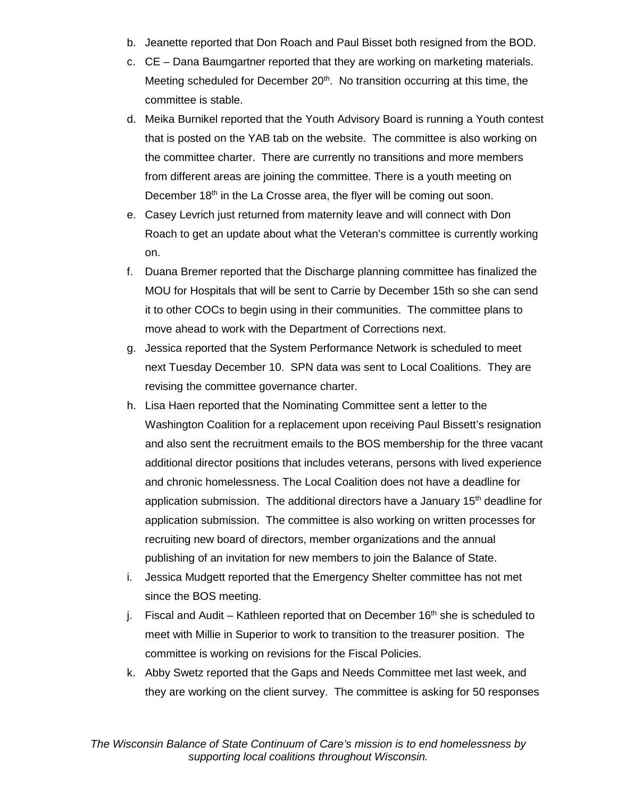- b. Jeanette reported that Don Roach and Paul Bisset both resigned from the BOD.
- c. CE Dana Baumgartner reported that they are working on marketing materials. Meeting scheduled for December  $20<sup>th</sup>$ . No transition occurring at this time, the committee is stable.
- d. Meika Burnikel reported that the Youth Advisory Board is running a Youth contest that is posted on the YAB tab on the website. The committee is also working on the committee charter. There are currently no transitions and more members from different areas are joining the committee. There is a youth meeting on December 18<sup>th</sup> in the La Crosse area, the flyer will be coming out soon.
- e. Casey Levrich just returned from maternity leave and will connect with Don Roach to get an update about what the Veteran's committee is currently working on.
- f. Duana Bremer reported that the Discharge planning committee has finalized the MOU for Hospitals that will be sent to Carrie by December 15th so she can send it to other COCs to begin using in their communities. The committee plans to move ahead to work with the Department of Corrections next.
- g. Jessica reported that the System Performance Network is scheduled to meet next Tuesday December 10. SPN data was sent to Local Coalitions. They are revising the committee governance charter.
- h. Lisa Haen reported that the Nominating Committee sent a letter to the Washington Coalition for a replacement upon receiving Paul Bissett's resignation and also sent the recruitment emails to the BOS membership for the three vacant additional director positions that includes veterans, persons with lived experience and chronic homelessness. The Local Coalition does not have a deadline for application submission. The additional directors have a January  $15<sup>th</sup>$  deadline for application submission. The committee is also working on written processes for recruiting new board of directors, member organizations and the annual publishing of an invitation for new members to join the Balance of State.
- i. Jessica Mudgett reported that the Emergency Shelter committee has not met since the BOS meeting.
- j. Fiscal and Audit Kathleen reported that on December  $16<sup>th</sup>$  she is scheduled to meet with Millie in Superior to work to transition to the treasurer position. The committee is working on revisions for the Fiscal Policies.
- k. Abby Swetz reported that the Gaps and Needs Committee met last week, and they are working on the client survey. The committee is asking for 50 responses